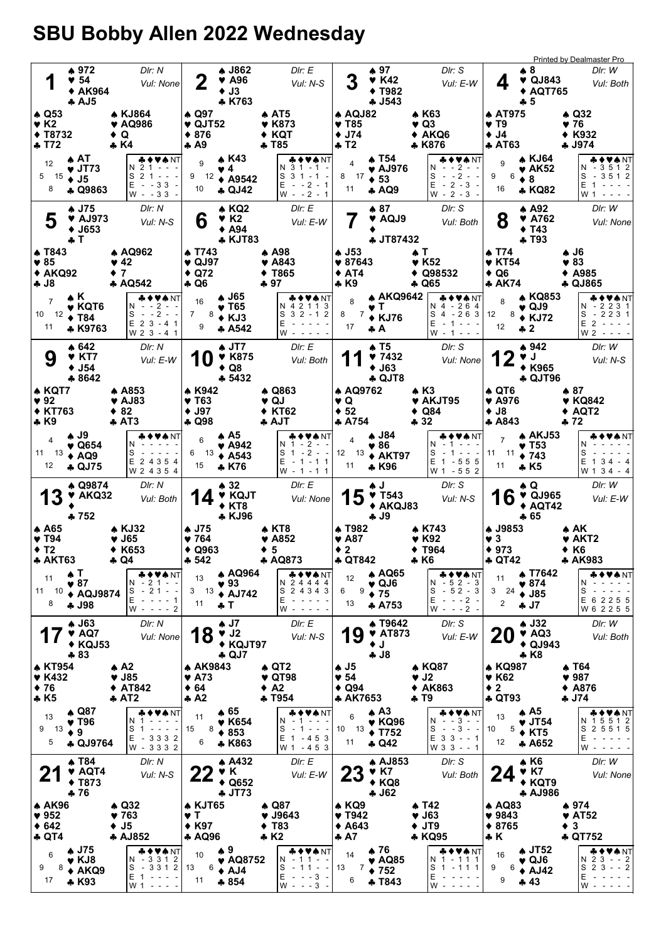## SBU Bobby Allen 2022 Wednesday

|                                                                                        |                                                                        |                                                                            |                                                                                             |                                                                                              |                                                                                                     |                                                                                |                                                                                                             | <b>Printed by Dealmaster Pro</b>                                    |
|----------------------------------------------------------------------------------------|------------------------------------------------------------------------|----------------------------------------------------------------------------|---------------------------------------------------------------------------------------------|----------------------------------------------------------------------------------------------|-----------------------------------------------------------------------------------------------------|--------------------------------------------------------------------------------|-------------------------------------------------------------------------------------------------------------|---------------------------------------------------------------------|
| 1                                                                                      | ▲ 972<br>$\blacktriangledown$ 54<br>◆ AK964<br>AJ5                     | DIr: N<br>Vul: None                                                        | A J862<br>2<br>$\blacktriangledown$ A96<br>$+$ J3<br>* K763                                 | DIr: E<br>Vul: N-S                                                                           | ▲ 97<br>$V$ K42<br><b>◆ T982</b><br>$-1543$                                                         | DIr: S<br>Vul: E-W                                                             | ₩8<br>$\blacktriangledown$ QJ843<br>4<br><b>◆ AQT765</b><br>$+5$                                            | DIr: W<br>Vul: Both                                                 |
| $\triangle$ Q53<br>$\blacktriangledown$ K2<br>$+ T8732$                                |                                                                        | ♠ KJ864<br>♥ AQ986<br>$\bullet$ Q                                          | ▲ Q97<br>$\blacktriangledown$ QJT52<br>$*876$                                               | $\clubsuit$ AT5<br>♥ K873<br>$\triangle$ KQT                                                 | $\triangle$ AQJ82<br>$\blacktriangledown$ T85<br>$\bullet$ J74                                      | ▲ К63<br>$\blacktriangledown$ Q3<br>$\triangle$ AKQ6                           | <b>A AT975</b><br>$\blacktriangledown$ T9<br>$\bullet$ J4                                                   | $\triangle$ Q32<br>♥ 76<br>◆ K932                                   |
| ÷ T72<br>12<br>5                                                                       | ▲ AT<br>$\bullet$ JT73.<br>$15 \div J5$                                | * K4<br>♣♦♥♠NT<br>N 2 1 - - -<br>$S$ 2 1 - - -                             | $\clubsuit$ A9<br>$\triangle$ K43<br>9<br>♥ 4<br>9 12                                       | <b>← T85</b><br>♣♦♥♠ NT<br>N 3 1 - 1 -<br>$S_3 1 - 1 -$<br>$\triangle$ A9542                 | ♣ T2<br>▲ T54<br>$\overline{4}$<br>$\blacktriangledown$ AJ976<br>$8 \t 17 \t 53$                    | ♣ K876<br>♣♦♥♠ NT<br>$N - 2 - -$<br>$- -2 - -$<br>S                            | ♣ AT63<br>▲ KJ64<br>9<br>♥ AK52<br>6<br>9<br>$\bullet$ 8                                                    | ♣ J974<br><b>* ◆ ♥ ♠</b> NT<br>$N - 3512$<br>$S - 3512$             |
| 8                                                                                      | <b>4 Q9863</b>                                                         | $E - 33 -$<br>$W - 33 -$                                                   | 10<br>$\clubsuit$ QJ42                                                                      | $E - 2 - 1$<br>$W - -2 - 1$                                                                  | 11<br><b>4 AQ9</b>                                                                                  | Е<br>$-2 - 3 -$<br>$W - 2 - 3 -$                                               | 16<br>* KQ82                                                                                                | $E$ 1 -<br>W 1                                                      |
| 5                                                                                      | A J75<br>$\blacktriangledown$ AJ973<br>$\blacklozenge$ J653<br>÷ T     | DIr: N<br>Vul: N-S                                                         | $\triangle$ KQ2<br>6<br>$\blacktriangledown$ K2<br>$\triangle$ A94                          | DIr: E<br>Vul: E-W<br><b>* KJT83</b>                                                         | ▲ 87<br><b>V</b> AQJ9<br>♣ JT87432                                                                  | DIr: S<br>Vul: Both                                                            | $\triangle$ A92<br>8<br>$\blacktriangledown$ A762<br>$\blacklozenge$ T43<br>$+T93$                          | DIr: W<br>Vul: None                                                 |
| <b>A T843</b><br>$\blacktriangledown 85$                                               |                                                                        | <b>A AQ962</b><br>♥ 42                                                     | <b>A T743</b><br>$\blacktriangledown$ QJ97                                                  | A A98⊧<br>$\blacktriangledown$ A843                                                          | $\spadesuit$ J53<br>$*87643$                                                                        | $\bullet$ T<br>$\blacktriangledown$ K52                                        | ▲ T74<br>$\blacktriangledown$ KT54                                                                          | 4. J6<br>$\blacktriangledown 83$                                    |
| $* AKQ92$<br><b>4 J8</b>                                                               |                                                                        | $\bullet$ 7<br><b>A AQ542</b>                                              | $\triangle$ Q72<br>÷ Q6                                                                     | T865<br>♣ 97                                                                                 | $\triangle$ AT4<br>$\clubsuit$ K9                                                                   | $\triangle$ Q98532<br>♣ Q65                                                    | $\bullet$ Q6<br>♣ AK74                                                                                      | <b>◆ A985</b><br>♣ QJ865                                            |
| $\overline{7}$<br>$10 \t12$ → T84<br>11                                                | A K<br>$\blacktriangledown$ KQT6<br>* K9763                            | &♦♥★NT<br>N - -2 - -<br>S<br>$- -2 - -$<br>E 2 3 - 4 1<br>W 2 3 - 4 1      | A J65<br>16<br>$\blacktriangledown$ T65<br>7<br>$8 + KJ3$<br>9<br>A 542                     | <b>₩♦₩</b> ₩<br>N 4 2 1 1 3<br>$S_3 2 - 1$<br>$\overline{2}$<br>Ε<br>$W - - - -$             | ▲ AKQ9642<br>8<br>$\blacktriangledown$ T<br>8<br>$7 \div KJ76$<br>17<br>♣A                          | ♣♦♥♠ NT<br>N 4 - 264<br>$S_4 - 263$<br>Е<br>$-1 - - -$<br>$W - 1 - - -$        | ▲ KQ853<br>8<br>$\blacktriangledown$ QJ9<br>$8 + KJ72$<br>12<br>12<br>* 2                                   | <b>+VANT</b><br>N - 2 2 3 1<br>$S - 2231$<br>$E$ 2 -<br>$W 2 - - -$ |
| 9                                                                                      | ▲ 642<br><b>V KT7</b><br>♦ J54<br>$*8642$                              | Dir: N<br>Vul: E-W                                                         | $\clubsuit$ JT7<br><b>V</b> K875<br>$\triangle$ Q8<br>$-5432$                               | DIr: E<br>Vul: Both                                                                          | ▲ T5<br>97432<br>$+$ J63<br>$\clubsuit$ QJT8                                                        | Dir: S<br>Vul: None                                                            | ▲ 942<br>V J<br>◆ K965<br>$\clubsuit$ QJT96                                                                 | DIr: W<br>Vul: N-S                                                  |
| ♠ KQT7<br>$\blacktriangledown$ 92<br><b>◆ KT763</b><br>$\clubsuit$ K9                  |                                                                        | A853<br>♥ AJ83<br>♦ 82<br>♣ АТ3                                            | * K942<br>$\blacktriangledown$ T63<br>$+$ J97<br>♣ Q98                                      | $\clubsuit$ Q863<br>♥ QJ<br><b>◆ KT62</b><br>♣ AJT                                           | <b>A AQ9762</b><br>Y Q<br>$\div$ 52<br>* A754                                                       | $\triangle$ K3<br>♥ AKJT95<br>$\triangleleft$ Q84<br>♣ 32                      | $\clubsuit$ QT6<br>$\blacktriangledown$ A976<br>$\bullet$ J8<br>A843                                        | ♠ 87<br>♥ KQ842<br>◆ AQT2<br>♣ 72                                   |
| $\overline{4}$<br>12                                                                   | A J9<br>$\blacktriangledown$ Q654<br>11 $13 \div AQ9$<br><b>4 QJ75</b> | ◆♥♠NT<br>S<br>E 2 4 3 5 4<br>W 2 4 3 5 4                                   | $\clubsuit$ A5<br>6<br>$\blacktriangledown$ A942<br>6 13<br>$\triangle$ A543<br>15<br>* K76 | ♣♦♥♠ NT<br>$N$ 1 - 2 - -<br>$S_1 - 2 - -$<br>$E - 1 - 11$<br>$W - 1 - 11$                    | ▲ J84<br>$\overline{4}$<br>♥ 86<br>12 13 $\bullet$ AKT97<br>11<br>* K96                             | ♣♦♥♠ NT<br>$-1 - - -$<br>S<br>$-1 - - -$<br>E 1 - 5 5 5<br>W 1 - 5 5 2         | <b>A AKJ53</b><br>$\overline{7}$<br>♥ T53<br>11 11<br>$*743$<br>11<br>$\clubsuit$ K5                        | ◆♥♠NT<br>S<br>$E$ 1 3 4 - 4<br>W 1 3 4 - 4                          |
| <b>13</b>                                                                              | $\clubsuit$ Q9874<br>♥ AKQ32<br>$+752$                                 | DIr: N<br>Vul: Both                                                        | $*32$<br>14<br>$\triangle$ KT8<br><b>* KJ96</b>                                             | Dir: E<br>♥ KQJT<br>Vul: None                                                                | ♠ J<br>$15$ $\frac{9}{4}$ $\frac{1543}{150}$<br>◆ AKQJ83<br>÷ J9                                    | Dir: S<br>Vul: N-S                                                             | ♠ Q<br>16<br>$\blacktriangledown$ QJ965<br>$* AQT42$<br>♣ 65                                                | DIr: W<br>Vul: E-W                                                  |
| $\clubsuit$ A65<br>$\blacktriangledown$ T94<br>$\div$ T <sub>2</sub><br><b>* AKT63</b> |                                                                        | $\triangle$ KJ32<br>$\blacktriangledown$ J65<br><b>◆ K653</b><br>⊕ Q4      | <b>↑ J75</b><br>9764<br>$\triangle$ Q963<br>$-542$                                          | ♠ KT8<br>♥ A852<br>♦ 5<br><b>* AQ873</b>                                                     | <b>A T982</b><br>♥ A87<br>$\bullet$ 2<br><b>4 QT842</b>                                             | A K743<br>$\blacktriangledown$ K92<br>$\blacklozenge$ T964<br>♣ K6             | ♣ J9853<br>$\blacktriangledown$ 3<br>$*973$<br>♣ QT42                                                       | ♠ AK<br>♥ AKT2<br>◆ K6<br><b>* AK983</b>                            |
| 11<br>11 10<br>8                                                                       | ѧ⊤<br>♥ 87<br>◆ AQJ9874<br><b>4 J98</b>                                | ◆♥♠NT<br>N<br>-21--<br>$-21 - -$<br>S<br>E<br>$- - - - 1$<br>$W - - - - 2$ | 13<br>$\blacktriangledown$ 93<br>$3$ 13<br>11<br>$+T$                                       | <b>A AQ964</b><br>♣♦♥♠NT<br>N 2 4 4 4 4<br>S 2 4 3 4 3<br><b>↑ AJ742</b><br>Е<br>W - - - - - | <b>A AQ65</b><br>12<br>$\blacktriangledown$ QJ6<br>9<br>6<br>$\div 75$<br>13<br><b>A753</b>         | ♣♦♥♠ NT<br>$-52 - 3$<br>N<br>$-52 - 3$<br>S<br>Е<br>$- - - 2 -$<br>$W - - -2$  | <b>4 T7642</b><br>11<br>$* 874$<br>$^{24}$ $\bullet$ J85<br>3<br>$\overline{2}$<br>÷ J7                     | ♣♦♥♠NT <br>N.<br>S<br>E 6 2 2 5 5<br>W 6 2 2 5 5                    |
|                                                                                        | $\clubsuit$ J63<br>$\blacktriangledown$ AQ7<br>◆ KQJ53<br>$*83$        | DIr: N<br>Vul: None                                                        | ♠ J7<br>18<br>$\blacktriangledown$ J2<br>$\clubsuit$ QJ7                                    | Dir: E<br>Vul: N-S<br>◆ KQJT97                                                               | <b>A T9642</b><br>9<br><b>V</b> AT873<br>$\bullet$ J<br><b>4 J8</b>                                 | DIr: S<br>Vul: E-W                                                             | $\clubsuit$ J32<br><b>20</b><br>$\blacktriangledown$ AQ3<br>$\triangle$ QJ943<br>$\clubsuit$ K <sub>8</sub> | DIr: W<br>Vul: Both                                                 |
| <b>4 KT954</b><br><b>V</b> K432<br>$\div$ 76<br>$\clubsuit$ K <sub>5</sub>             |                                                                        | ♠ A2<br>$\blacktriangledown$ J85<br>◆ AT842<br>$+ AT2$                     | <b>A AK9843</b><br>$\blacktriangledown$ A73<br>$* 64$<br>♣ A2                               | $\clubsuit$ QT2<br>$\blacktriangledown$ QT98<br>$\triangle$ A2<br><b>+ T954</b>              | ♠ J5<br>$\blacktriangledown$ 54<br>$\triangle$ Q94<br><b>4 AK7653</b>                               | ♦ KQ87<br>$\blacktriangledown$ J2<br>◆ AK863<br>$+T9$                          | <b>* KQ987</b><br>$\blacktriangledown$ K62<br>$\bullet$ 2<br><b>4 QT93</b>                                  | ♠ T64<br>$\blacktriangledown$ 987<br><b>◆ A876</b><br>$-174$        |
| 13<br>9<br>13<br>5                                                                     | ♦ Q87<br>♥ T96<br>$\bullet$ 9<br>♣ QJ9764                              | ♣♦♥♠NT<br>N 1<br>$S$ 1 - - - -<br>E - 3332<br>W - 3332                     | $\clubsuit$ 65<br>11<br>$\blacktriangledown$ K654<br>8<br>15<br>$*853$<br>6<br>* K863       | ◆♥♠NT<br>N.<br>S<br>$1 - - -$<br>$E$ 1 - 453<br>W 1 - 4 5 3                                  | $\triangle$ A3<br>6<br>$\blacktriangledown$ KQ96<br>13<br>10<br>$\blacklozenge$ T752<br>11<br>÷ Q42 | ♣♦♥♠NT<br>$- - 3 - -$<br>N<br>$- - 3 - -$<br>S<br>$E$ 3 3 - - 1<br>W 3 3 - - 1 | $\clubsuit$ A5<br>13<br>$\blacktriangledown$ JT54<br>5<br>10<br>$\triangle$ KT5<br>12<br>* A652             | <b>*◆♥♠</b> NT<br>N 1 5 5 1 2<br>S<br>2 5 5 1 5<br>E<br>W           |
| $\mathbf{2}^{\cdot}$                                                                   | <b>4 T84</b><br><b>V</b> AQT4<br>$\blacklozenge$ T873<br>$+76$         | DIr: N<br>Vul: N-S                                                         | <b>A432</b><br>Y K<br><u>Z Z</u><br>$\triangle$ Q652<br>$\clubsuit$ JT73                    | DIr: E<br>Vul: E-W                                                                           | <b>A AJ853</b><br><b>23</b><br>$\blacktriangledown$ K7<br>$\triangle$ KQ8<br>$-162$                 | DIr: S<br>Vul: Both                                                            | $\clubsuit$ K6<br>24<br>$\blacktriangledown$ K7<br>$\blacklozenge$ KQT9<br><b>A AJ986</b>                   | DIr: W<br>Vul: None                                                 |
| <b>A AK96</b>                                                                          |                                                                        | $\triangle$ Q32                                                            | <b>A KJT65</b>                                                                              | ♠ Q87                                                                                        | $\triangle$ KQ9                                                                                     | ♠ T42                                                                          | $\clubsuit$ AQ83                                                                                            | ♠ 974                                                               |
| $\blacktriangledown$ 952<br>$* 642$<br>$\clubsuit$ QT4                                 |                                                                        | ♥ 763<br>$\blacklozenge$ J5<br><b>A AJ852</b>                              | Y T<br>$*$ K97<br><b>A AQ96</b>                                                             | ♥ J9643<br><b>T83</b><br>٠<br>$\clubsuit$ K2                                                 | ♥ T942<br>$\triangle$ A643<br>♣ A7                                                                  | $\blacktriangledown$ J63<br>$\bullet$ JT9<br>* KQ95                            | $* 9843$<br>♦ 8765<br>♣ K                                                                                   | <b>V</b> AT52<br>$\bullet$ 3<br><b>4 QT752</b>                      |